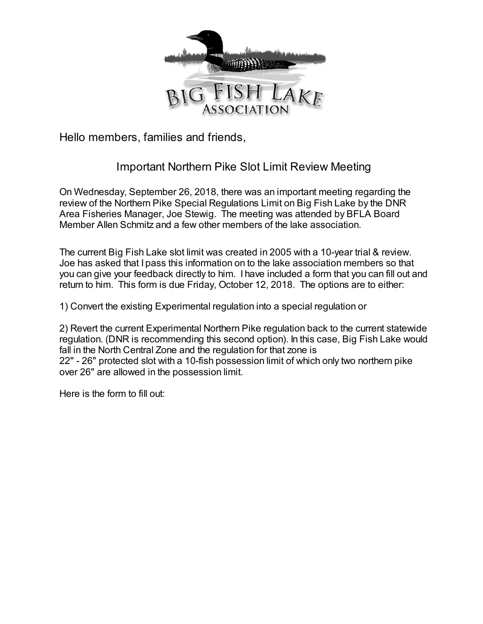

Hello members, families and friends,

## Important Northern Pike Slot Limit Review Meeting

On Wednesday, September 26, 2018, there was an important meeting regarding the review of the Northern Pike Special Regulations Limit on Big Fish Lake by the DNR Area Fisheries Manager, Joe Stewig. The meeting was attended by BFLA Board Member Allen Schmitz and a few other members of the lake association.

The current Big Fish Lake slot limit was created in 2005 with a 10-year trial & review. Joe has asked that I pass this information on to the lake association members so that you can give your feedback directly to him. I have included a form that you can fill out and return to him. This form is due Friday, October 12, 2018. The options are to either:

1) Convert the existing Experimental regulation into a special regulation or

2) Revert the current Experimental Northern Pike regulation back to the current statewide regulation. (DNR is recommending this second option). In this case, Big Fish Lake would fall in the North Central Zone and the regulation for that zone is 22" - 26" protected slot with a 10-fish possession limit of which only two northern pike over 26" are allowed in the possession limit.

Here is the form to fill out: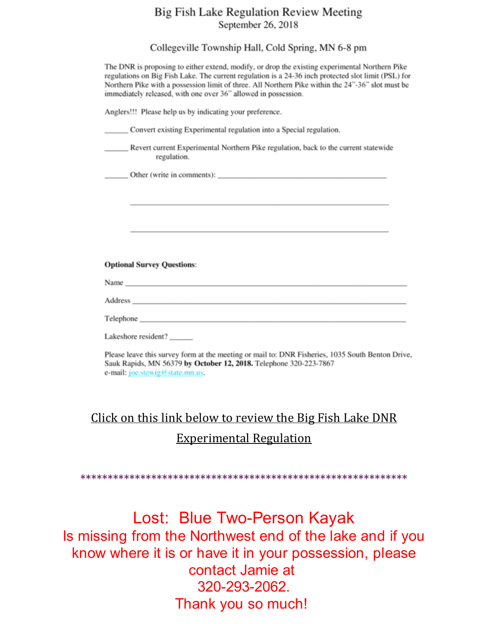## Big Fish Lake Regulation Review Meeting September 26, 2018

Collegeville Township Hall, Cold Spring, MN 6-8 pm

| The DNR is proposing to either extend, modify, or drop the existing experimental Northern Pike<br>regulations on Big Fish Lake. The current regulation is a 24-36 inch protected slot limit (PSL) for<br>Northern Pike with a possession limit of three. All Northern Pike within the 24"-36" slot must be<br>immediately released, with one over 36" allowed in possession. |  |
|------------------------------------------------------------------------------------------------------------------------------------------------------------------------------------------------------------------------------------------------------------------------------------------------------------------------------------------------------------------------------|--|
| Anglers!!! Please help us by indicating your preference.                                                                                                                                                                                                                                                                                                                     |  |
| Convert existing Experimental regulation into a Special regulation.                                                                                                                                                                                                                                                                                                          |  |
| Revert current Experimental Northern Pike regulation, back to the current statewide<br>regulation.                                                                                                                                                                                                                                                                           |  |
|                                                                                                                                                                                                                                                                                                                                                                              |  |
|                                                                                                                                                                                                                                                                                                                                                                              |  |
|                                                                                                                                                                                                                                                                                                                                                                              |  |
|                                                                                                                                                                                                                                                                                                                                                                              |  |
| <b>Optional Survey Questions:</b>                                                                                                                                                                                                                                                                                                                                            |  |
|                                                                                                                                                                                                                                                                                                                                                                              |  |
|                                                                                                                                                                                                                                                                                                                                                                              |  |
|                                                                                                                                                                                                                                                                                                                                                                              |  |
| Lakeshore resident?______                                                                                                                                                                                                                                                                                                                                                    |  |
| Please leave this survey form at the meeting or mail to: DNR Fisheries, 1035 South Benton Drive,<br>Sauk Rapids, MN 56379 by October 12, 2018. Telephone 320-223-7867<br>e-mail: joe.stewig@state.mn.us.                                                                                                                                                                     |  |
|                                                                                                                                                                                                                                                                                                                                                                              |  |
| <u>Click on this link below to review the Big Fish Lake DNR</u>                                                                                                                                                                                                                                                                                                              |  |
| <b>Experimental Regulation</b>                                                                                                                                                                                                                                                                                                                                               |  |
|                                                                                                                                                                                                                                                                                                                                                                              |  |
|                                                                                                                                                                                                                                                                                                                                                                              |  |
| Lost: Blue Two-Person Kayak                                                                                                                                                                                                                                                                                                                                                  |  |
| Is missing from the Northwest end of the lake and if you                                                                                                                                                                                                                                                                                                                     |  |
| know where it is or have it in your possession, please                                                                                                                                                                                                                                                                                                                       |  |
| contact Jamie at                                                                                                                                                                                                                                                                                                                                                             |  |
| 320-293-2062.                                                                                                                                                                                                                                                                                                                                                                |  |

Thank you so much!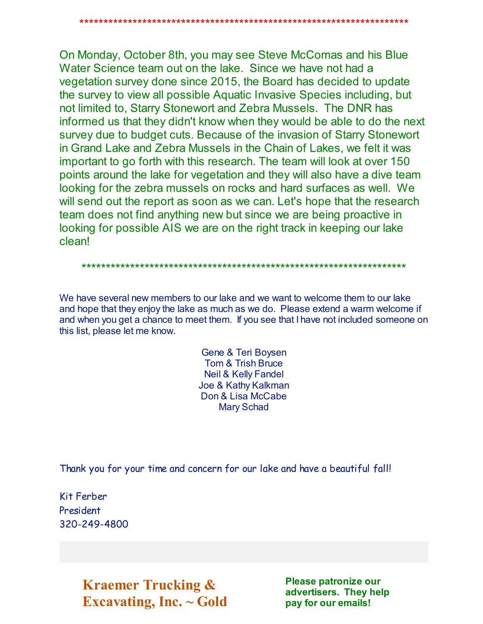On Monday, October 8th, you may see Steve McComas and his Blue Water Science team out on the lake. Since we have not had a vegetation survey done since 2015, the Board has decided to update the survey to view all possible Aquatic Invasive Species including, but not limited to, Starry Stonewort and Zebra Mussels. The DNR has informed us that they didn't know when they would be able to do the next survey due to budget cuts. Because of the invasion of Starry Stonewort in Grand Lake and Zebra Mussels in the Chain of Lakes, we felt it was important to go forth with this research. The team will look at over 150 points around the lake for vegetation and they will also have a dive team looking for the zebra mussels on rocks and hard surfaces as well. We will send out the report as soon as we can. Let's hope that the research team does not find anything new but since we are being proactive in looking for possible AIS we are on the right track in keeping our lake clean!

#### 

We have several new members to our lake and we want to welcome them to our lake and hope that they enjoy the lake as much as we do. Please extend a warm welcome if and when you get a chance to meet them. If you see that I have not included someone on this list, please let me know.

> Gene & Teri Boysen **Tom & Trish Bruce Neil & Kelly Fandel** Joe & Kathy Kalkman Don & Lisa McCabe **Mary Schad**

Thank you for your time and concern for our lake and have a beautiful fall!

Kit Ferber President 320-249-4800

> **Kraemer Trucking &** Excavating, Inc.  $\sim$  Gold

Please patronize our advertisers. They help pay for our emails!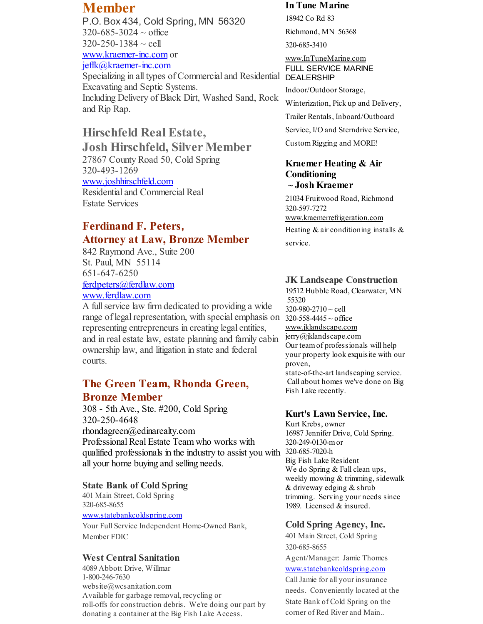# **Member**

P.O. Box 434, Cold Spring, MN 56320  $320 - 685 - 3024 \sim$  office  $320 - 250 - 1384 \sim$  cell [www.kraemer-inc.com](http://r20.rs6.net/tn.jsp?f=001oepTxKHOzpaoqu53vnlXON_b8GP5eQ00NGIG8gl3b64JXEhNA4UNsmbBeZVmoPzKn9unFLTWG35GldIqNv517jTYD8gFs5xtSAvmfbrqPYhHh_-Q9mAUuYL40M-KX0Na4wIMVmRI7eeVv4nNt_yZbHzZnQeLGnwv7HnwGrW7KXM=&c=&ch=) or jeffk@kraemer-inc.com Specializing in all types of Commercial and Residential DEALERSHIP Excavating and Septic Systems.

Including Delivery of Black Dirt, Washed Sand, Rock and Rip Rap.

## **Hirschfeld Real Estate,**

**Josh Hirschfeld, Silver Member** 27867 County Road 50, Cold Spring 320-493-1269 [www.joshhirschfeld.com](http://r20.rs6.net/tn.jsp?f=001oepTxKHOzpaoqu53vnlXON_b8GP5eQ00NGIG8gl3b64JXEhNA4UNsmb8GT5NidTFY7WYln-GgbmFS0lOiJXn9eaazoIGAvzRFksSXqJis6RxFWw1-JQ9Yeo_p_W_NBrnNKc4tsRTIB52ssm2Fg-aPeqd0lkGbbTQirhNXlg_4lRlU7hD19Suqg==&c=&ch=) Residential and Commercial Real Estate Services

## **Ferdinand F. Peters, Attorney at Law, Bronze Member**

842 Raymond Ave., Suite 200 St. Paul, MN 55114 651-647-6250 [ferdpeters@ferdlaw.com](mailto:ferdpeters@ferdlaw.com) [www.ferdlaw.com](http://r20.rs6.net/tn.jsp?f=001oepTxKHOzpaoqu53vnlXON_b8GP5eQ00NGIG8gl3b64JXEhNA4UNsu4uyLAHzTe1P7T6ELjXInpoUCXgqsTrmFc4DF5ECS1W5qKkk_FkjB7cpxaUbRmbkc1eBl0jEd3Kuc9Wr_F0aj8crU-DchpV-a5JceV7ZBGaBy-uSVcLfmA=&c=&ch=)

A fullservice law firm dedicated to providing a wide range of legal representation, with special emphasis on  $320-558-4445 \sim$  office representing entrepreneurs in creating legal entities, and in real estate law, estate planning and family cabin ownership law, and litigation in state and federal courts.

## **The Green Team, Rhonda Green, Bronze Member**

308 - 5th Ave., Ste. #200, Cold Spring 320-250-4648 rhondagreen@edinarealty.com Professional Real Estate Team who works with qualified professionals in the industry to assist you with 320-685-7020-h all your home buying and selling needs.

### **State Bank of Cold Spring**

401 Main Street, Cold Spring 320-685-8655

#### [www.statebankcoldspring.com](http://r20.rs6.net/tn.jsp?f=001oepTxKHOzpaoqu53vnlXON_b8GP5eQ00NGIG8gl3b64JXEhNA4UNsmb8GT5NidTF8RDPOH1HraRMolGQ4z9ML6TUWwL9XA4We2hIC9J-QW60xY2Yw6ZqBOdMKrZK6k7s3_PLGIDWU3NtsBYEMeJq-_NDMcA9xmyzN6XBh0K4Ft-mzMjz8AmU2Q==&c=&ch=)

Your Full Service Independent Home-Owned Bank, Member FDIC

### **West Central Sanitation**

4089 Abbott Drive, Willmar 1-800-246-7630 website@wcsanitation.com Available for garbage removal, recycling or roll-offs for construction debris. We're doing our part by donating a container at the Big Fish Lake Access.

#### **In Tune Marine**

18942 Co Rd 83 Richmond, MN 56368

320-685-3410

[www.InTuneMarine.com](http://r20.rs6.net/tn.jsp?f=001oepTxKHOzpaoqu53vnlXON_b8GP5eQ00NGIG8gl3b64JXEhNA4UNsmb8GT5NidTFPHqmUCyQBr-3sw425e45hKfWK8Xnx1NsC598QVK5nvaaaCl2gFdjPtN9Csg6KXxW51piD96W0OBkUzFOqLTzMgzEItgXQGRbaaoeMbIQJPo=&c=&ch=) FULL SERVICE MARINE

Indoor/Outdoor Storage,

Winterization, Pick up and Delivery,

Trailer Rentals, Inboard/Outboard

Service, I/O and Sterndrive Service,

CustomRigging and MORE!

### **Kraemer Heating & Air Conditioning ~ Josh Kraemer**

21034 Fruitwood Road, Richmond 320-597-7272 [www.kraemerrefrigeration.com](http://r20.rs6.net/tn.jsp?f=001oepTxKHOzpaoqu53vnlXON_b8GP5eQ00NGIG8gl3b64JXEhNA4UNsmb8GT5NidTFl0LwqbCNd9HPIXXlmZaGPVbhquOGBe3FTDb9-xHxJ27kCfHviSai4PwEIHiEfg_5IzoywXkv7s4_F31gqODi7LaUAVTvokNJdbG-POyuwx9Uzjq2yR_5kQ==&c=&ch=) Heating & air conditioning installs & service.

## **JK Landscape Construction**

19512 Hubble Road, Clearwater, MN 55320  $320 - 980 - 2710 \sim$  cell [www.jklandscape.com](http://r20.rs6.net/tn.jsp?f=001oepTxKHOzpaoqu53vnlXON_b8GP5eQ00NGIG8gl3b64JXEhNA4UNsh12E71i0mTLXzUqdEWt1PMcImoKC_eWpfu476d6nGVsDKE1B_pdOxgX207Ex9F_ObH3O7soxPUMnTWopszI3Z-XG_U3c4rpwMdIcY5a9r7DOEnpCZoFWGg=&c=&ch=) jerry@jklandscape.com Our teamof professionals will help your property look exquisite with our proven, state-of-the-art landscaping service. Call about homes we've done on Big Fish Lake recently.

### **Kurt's Lawn Service, Inc.**

Kurt Krebs, owner 16987 Jennifer Drive, Cold Spring. 320-249-0130-mor Big Fish Lake Resident We do Spring & Fall clean ups, weekly mowing & trimming, sidewalk & driveway edging & shrub trimming. Serving your needs since 1989. Licensed & insured.

### **Cold Spring Agency, Inc.**

401 Main Street, Cold Spring 320-685-8655

Agent/Manager: Jamie Thomes [www.statebankcoldspring.com](http://r20.rs6.net/tn.jsp?f=001oepTxKHOzpaoqu53vnlXON_b8GP5eQ00NGIG8gl3b64JXEhNA4UNsmb8GT5NidTF8RDPOH1HraRMolGQ4z9ML6TUWwL9XA4We2hIC9J-QW60xY2Yw6ZqBOdMKrZK6k7s3_PLGIDWU3NtsBYEMeJq-_NDMcA9xmyzN6XBh0K4Ft-mzMjz8AmU2Q==&c=&ch=)

CallJamie for all your insurance needs. Conveniently located at the State Bank of Cold Spring on the corner of Red River and Main..